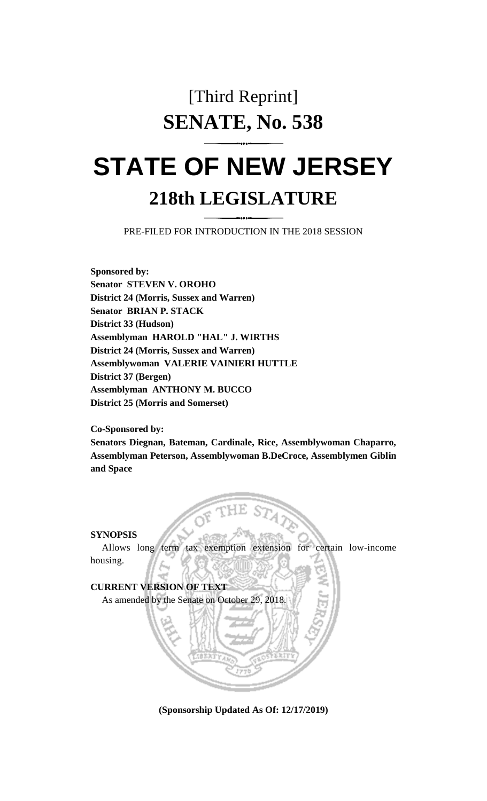## [Third Reprint] **SENATE, No. 538**

## **STATE OF NEW JERSEY 218th LEGISLATURE**

PRE-FILED FOR INTRODUCTION IN THE 2018 SESSION

**Sponsored by: Senator STEVEN V. OROHO District 24 (Morris, Sussex and Warren) Senator BRIAN P. STACK District 33 (Hudson) Assemblyman HAROLD "HAL" J. WIRTHS District 24 (Morris, Sussex and Warren) Assemblywoman VALERIE VAINIERI HUTTLE District 37 (Bergen) Assemblyman ANTHONY M. BUCCO District 25 (Morris and Somerset)**

**Co-Sponsored by:**

**Senators Diegnan, Bateman, Cardinale, Rice, Assemblywoman Chaparro, Assemblyman Peterson, Assemblywoman B.DeCroce, Assemblymen Giblin and Space**

**SYNOPSIS**

Allows long term tax exemption extension for certain low-income housing.

**CURRENT VERSION OF TEXT** 

As amended by the Senate on October 29, 2018.

**(Sponsorship Updated As Of: 12/17/2019)**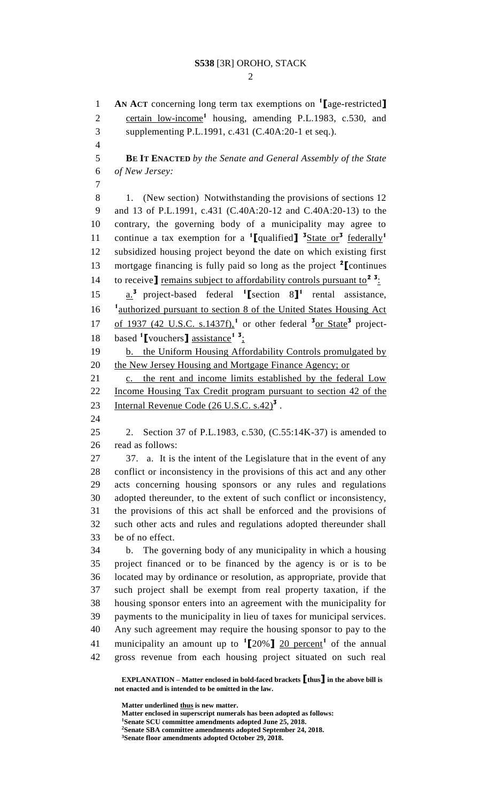## **S538** [3R] OROHO, STACK

 $\mathcal{D}_{\mathcal{L}}$ 

**AN ACT** concerning long term tax exemptions on **<sup>1</sup> [**age-restricted**]** 2 certain low-income<sup>1</sup> housing, amending P.L.1983, c.530, and supplementing P.L.1991, c.431 (C.40A:20-1 et seq.).

 **BE IT ENACTED** *by the Senate and General Assembly of the State of New Jersey:*

8 1. (New section) Notwithstanding the provisions of sections 12 and 13 of P.L.1991, c.431 (C.40A:20-12 and C.40A:20-13) to the contrary, the governing body of a municipality may agree to continue a tax exemption for a **<sup>1</sup> [**qualified**] 3** State or**<sup>3</sup>** federally**<sup>1</sup>** subsidized housing project beyond the date on which existing first mortgage financing is fully paid so long as the project **<sup>2</sup> [**continues 14 to receive] remains subject to affordability controls pursuant to<sup>2</sup><sup>3</sup>: 15  $\underline{a}^3$  project-based federal **1** section 8<sup>1</sup> rental assistance,

16 <sup>1</sup> authorized pursuant to section 8 of the United States Housing Act 17 of 1937 (42 U.S.C. s.1437f),<sup>1</sup> or other federal <sup>3</sup><sub>or State</sub><sup>3</sup> project-18 based **1** [vouchers ] assistance<sup>1</sup> <sup>3</sup>:

19 b. the Uniform Housing Affordability Controls promulgated by 20 the New Jersey Housing and Mortgage Finance Agency; or

21 c. the rent and income limits established by the federal Low Income Housing Tax Credit program pursuant to section 42 of the 23 Internal Revenue Code (26 U.S.C. s.42)<sup>3</sup>.

 2. Section 37 of P.L.1983, c.530, (C.55:14K-37) is amended to read as follows:

 37. a. It is the intent of the Legislature that in the event of any conflict or inconsistency in the provisions of this act and any other acts concerning housing sponsors or any rules and regulations adopted thereunder, to the extent of such conflict or inconsistency, the provisions of this act shall be enforced and the provisions of such other acts and rules and regulations adopted thereunder shall be of no effect.

 b. The governing body of any municipality in which a housing project financed or to be financed by the agency is or is to be located may by ordinance or resolution, as appropriate, provide that such project shall be exempt from real property taxation, if the housing sponsor enters into an agreement with the municipality for payments to the municipality in lieu of taxes for municipal services. Any such agreement may require the housing sponsor to pay to the 41 municipality an amount up to  $\binom{1}{20\%}$  20 percent<sup>1</sup> of the annual gross revenue from each housing project situated on such real

**EXPLANATION – Matter enclosed in bold-faced brackets [thus] in the above bill is not enacted and is intended to be omitted in the law.**

**Matter underlined thus is new matter.**

**Matter enclosed in superscript numerals has been adopted as follows: Senate SCU committee amendments adopted June 25, 2018. Senate SBA committee amendments adopted September 24, 2018. Senate floor amendments adopted October 29, 2018.**